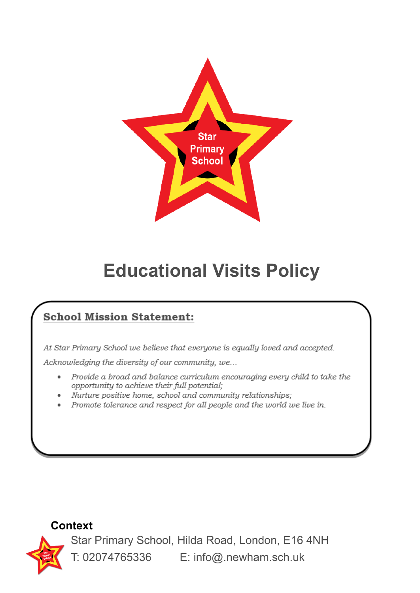

# **Educational Visits Policy**

# **School Mission Statement:**

At Star Primary School we believe that everyone is equally loved and accepted.

Acknowledging the diversity of our community, we...

- Provide a broad and balance curriculum encouraging every child to take the  $\bullet$ opportunity to achieve their full potential;
- Nurture positive home, school and community relationships;
- Promote tolerance and respect for all people and the world we live in.

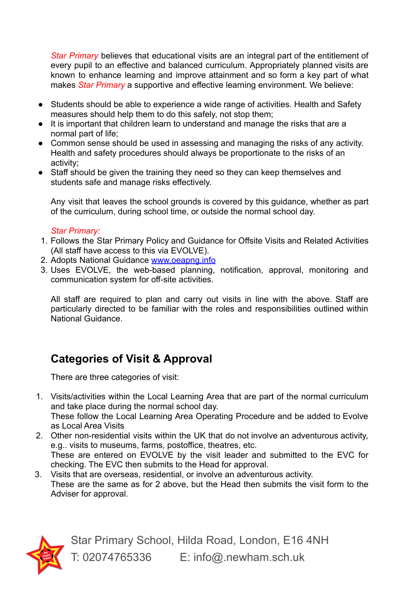*Star Primary* believes that educational visits are an integral part of the entitlement of every pupil to an effective and balanced curriculum. Appropriately planned visits are known to enhance learning and improve attainment and so form a key part of what makes *Star Primary* a supportive and effective learning environment. We believe:

- Students should be able to experience a wide range of activities. Health and Safety measures should help them to do this safely, not stop them;
- It is important that children learn to understand and manage the risks that are a normal part of life;
- Common sense should be used in assessing and managing the risks of any activity. Health and safety procedures should always be proportionate to the risks of an activity;
- Staff should be given the training they need so they can keep themselves and students safe and manage risks effectively.

Any visit that leaves the school grounds is covered by this guidance, whether as part of the curriculum, during school time, or outside the normal school day.

#### *Star Primary:*

- 1. Follows the Star Primary Policy and Guidance for Offsite Visits and Related Activities (All staff have access to this via EVOLVE).
- 2. Adopts National Guidance [www.oeapng.info](http://www.oeapng.info)
- 3. Uses EVOLVE, the web-based planning, notification, approval, monitoring and communication system for off-site activities.

All staff are required to plan and carry out visits in line with the above. Staff are particularly directed to be familiar with the roles and responsibilities outlined within National Guidance.

# **Categories of Visit & Approval**

There are three categories of visit:

1. Visits/activities within the Local Learning Area that are part of the normal curriculum and take place during the normal school day. These follow the Local Learning Area Operating Procedure and be added to Evolve as Local Area Visits

2. Other non-residential visits within the UK that do not involve an adventurous activity, e.g.. visits to museums, farms, postoffice, theatres, etc. These are entered on EVOLVE by the visit leader and submitted to the EVC for checking. The EVC then submits to the Head for approval.

3. Visits that are overseas, residential, or involve an adventurous activity. These are the same as for 2 above, but the Head then submits the visit form to the Adviser for approval.

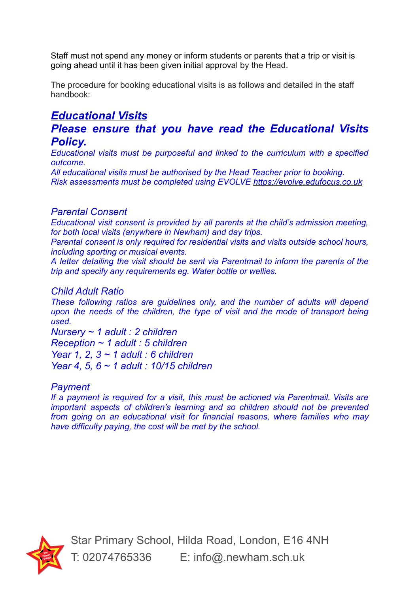Staff must not spend any money or inform students or parents that a trip or visit is going ahead until it has been given initial approval by the Head.

The procedure for booking educational visits is as follows and detailed in the staff handbook:

## *Educational Visits*

## *Please ensure that you have read the Educational Visits Policy.*

*Educational visits must be purposeful and linked to the curriculum with a specified outcome.*

*All educational visits must be authorised by the Head Teacher prior to booking. Risk assessments must be completed using EVOLVE <https://evolve.edufocus.co.uk>*

### *Parental Consent*

*Educational visit consent is provided by all parents at the child's admission meeting, for both local visits (anywhere in Newham) and day trips.*

*Parental consent is only required for residential visits and visits outside school hours, including sporting or musical events.*

*A letter detailing the visit should be sent via Parentmail to inform the parents of the trip and specify any requirements eg. Water bottle or wellies.*

### *Child Adult Ratio*

*These following ratios are guidelines only, and the number of adults will depend upon the needs of the children, the type of visit and the mode of transport being used.*

*Nursery ~ 1 adult : 2 children Reception ~ 1 adult : 5 children Year 1, 2, 3 ~ 1 adult : 6 children Year 4, 5, 6 ~ 1 adult : 10/15 children*

## *Payment*

*If a payment is required for a visit, this must be actioned via Parentmail. Visits are important aspects of children's learning and so children should not be prevented from going on an educational visit for financial reasons, where families who may have difficulty paying, the cost will be met by the school.*

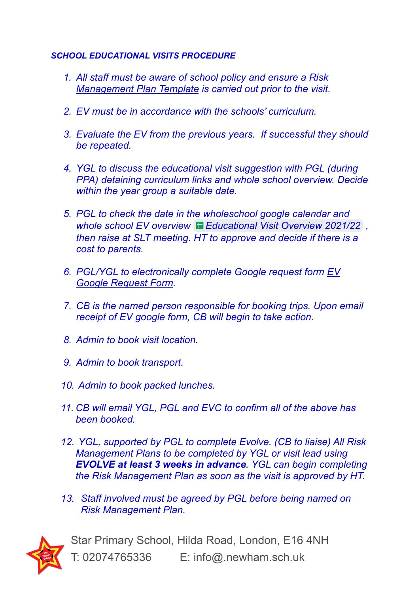## *SCHOOL EDUCATIONAL VISITS PROCEDURE*

- *1. All staff must be aware of school policy and ensure a [Risk](https://docs.google.com/document/d/1_OJ4ur6emQuQK-ks4vnl2PmcMC9_wFJYLbs8n8M1IUQ/edit) [Management](https://docs.google.com/document/d/1_OJ4ur6emQuQK-ks4vnl2PmcMC9_wFJYLbs8n8M1IUQ/edit) Plan Template is carried out prior to the visit.*
- *2. EV must be in accordance with the schools' curriculum.*
- *3. Evaluate the EV from the previous years. If successful they should be repeated.*
- *4. YGL to discuss the educational visit suggestion with PGL (during PPA) detaining curriculum links and whole school overview. Decide within the year group a suitable date.*
- *5. PGL to check the date in the wholeschool google calendar and whole school EV overview [Educational](https://docs.google.com/spreadsheets/d/1GMbPLlAr5akeGfsEPIWjiuiLpNOF1lrSqS8Nrm39Mvs/edit#gid=0) Visit Overview 2021/22 , then raise at SLT meeting. HT to approve and decide if there is a cost to parents.*
- *6. PGL/YGL to electronically complete Google request form [EV](https://forms.gle/YP2jfC5Hj5DTKa337) Google [Request](https://forms.gle/YP2jfC5Hj5DTKa337) Form.*
- *7. CB is the named person responsible for booking trips. Upon email receipt of EV google form, CB will begin to take action.*
- *8. Admin to book visit location.*
- *9. Admin to book transport.*
- *10. Admin to book packed lunches.*
- *11. CB will email YGL, PGL and EVC to confirm all of the above has been booked.*
- *12. YGL, supported by PGL to complete Evolve. (CB to liaise) All Risk Management Plans to be completed by YGL or visit lead using EVOLVE at least 3 weeks in advance. YGL can begin completing the Risk Management Plan as soon as the visit is approved by HT.*
- *13. Staff involved must be agreed by PGL before being named on Risk Management Plan.*

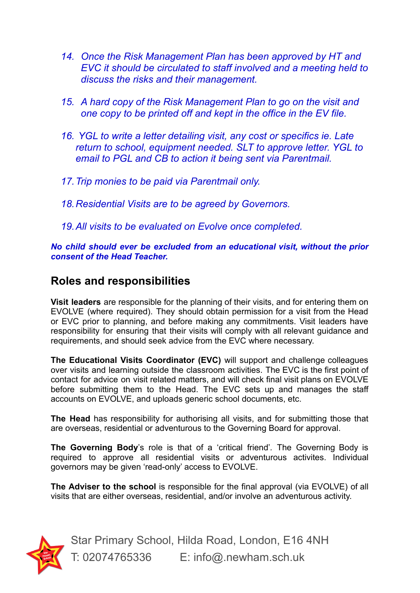- *14. Once the Risk Management Plan has been approved by HT and EVC it should be circulated to staff involved and a meeting held to discuss the risks and their management.*
- *15. A hard copy of the Risk Management Plan to go on the visit and one copy to be printed off and kept in the office in the EV file.*
- *16. YGL to write a letter detailing visit, any cost or specifics ie. Late return to school, equipment needed. SLT to approve letter. YGL to email to PGL and CB to action it being sent via Parentmail.*
- *17.Trip monies to be paid via Parentmail only.*
- *18.Residential Visits are to be agreed by Governors.*
- *19.All visits to be evaluated on Evolve once completed.*

*No child should ever be excluded from an educational visit, without the prior consent of the Head Teacher.*

## **Roles and responsibilities**

**Visit leaders** are responsible for the planning of their visits, and for entering them on EVOLVE (where required). They should obtain permission for a visit from the Head or EVC prior to planning, and before making any commitments. Visit leaders have responsibility for ensuring that their visits will comply with all relevant guidance and requirements, and should seek advice from the EVC where necessary.

**The Educational Visits Coordinator (EVC)** will support and challenge colleagues over visits and learning outside the classroom activities. The EVC is the first point of contact for advice on visit related matters, and will check final visit plans on EVOLVE before submitting them to the Head. The EVC sets up and manages the staff accounts on EVOLVE, and uploads generic school documents, etc.

**The Head** has responsibility for authorising all visits, and for submitting those that are overseas, residential or adventurous to the Governing Board for approval.

**The Governing Body**'s role is that of a 'critical friend'*.* The Governing Body is required to approve all residential visits or adventurous activites. Individual governors may be given 'read-only' access to EVOLVE.

**The Adviser to the school** is responsible for the final approval (via EVOLVE) of all visits that are either overseas, residential, and/or involve an adventurous activity.

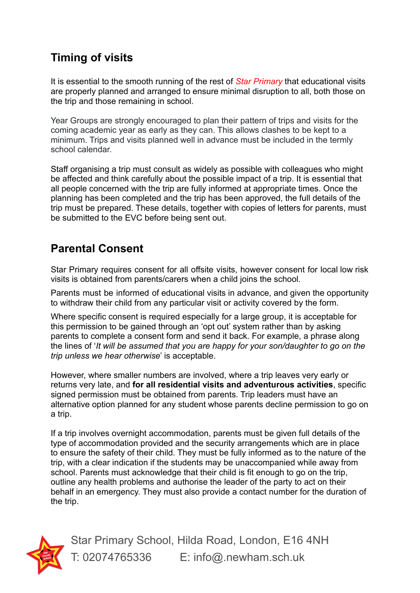# **Timing of visits**

It is essential to the smooth running of the rest of *Star Primary* that educational visits are properly planned and arranged to ensure minimal disruption to all, both those on the trip and those remaining in school.

Year Groups are strongly encouraged to plan their pattern of trips and visits for the coming academic year as early as they can. This allows clashes to be kept to a minimum. Trips and visits planned well in advance must be included in the termly school calendar.

Staff organising a trip must consult as widely as possible with colleagues who might be affected and think carefully about the possible impact of a trip. It is essential that all people concerned with the trip are fully informed at appropriate times. Once the planning has been completed and the trip has been approved, the full details of the trip must be prepared. These details, together with copies of letters for parents, must be submitted to the EVC before being sent out.

# **Parental Consent**

Star Primary requires consent for all offsite visits, however consent for local low risk visits is obtained from parents/carers when a child joins the school.

Parents must be informed of educational visits in advance, and given the opportunity to withdraw their child from any particular visit or activity covered by the form.

Where specific consent is required especially for a large group, it is acceptable for this permission to be gained through an 'opt out' system rather than by asking parents to complete a consent form and send it back. For example, a phrase along the lines of '*It will be assumed that you are happy for your son/daughter to go on the trip unless we hear otherwise*' is acceptable.

However, where smaller numbers are involved, where a trip leaves very early or returns very late, and **for all residential visits and adventurous activities**, specific signed permission must be obtained from parents. Trip leaders must have an alternative option planned for any student whose parents decline permission to go on a trip.

If a trip involves overnight accommodation, parents must be given full details of the type of accommodation provided and the security arrangements which are in place to ensure the safety of their child. They must be fully informed as to the nature of the trip, with a clear indication if the students may be unaccompanied while away from school. Parents must acknowledge that their child is fit enough to go on the trip, outline any health problems and authorise the leader of the party to act on their behalf in an emergency. They must also provide a contact number for the duration of the trip.

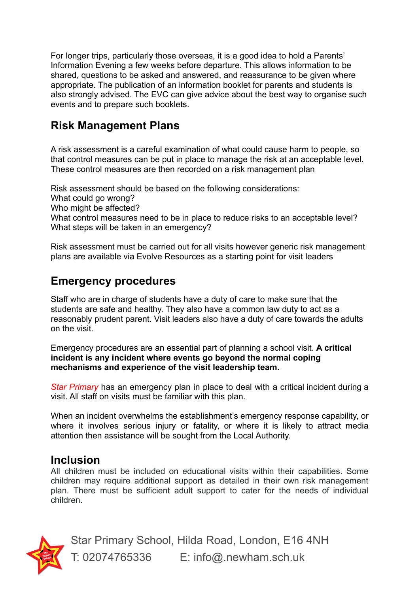For longer trips, particularly those overseas, it is a good idea to hold a Parents' Information Evening a few weeks before departure. This allows information to be shared, questions to be asked and answered, and reassurance to be given where appropriate. The publication of an information booklet for parents and students is also strongly advised. The EVC can give advice about the best way to organise such events and to prepare such booklets.

## **Risk Management Plans**

A risk assessment is a careful examination of what could cause harm to people, so that control measures can be put in place to manage the risk at an acceptable level. These control measures are then recorded on a risk management plan

Risk assessment should be based on the following considerations: What could go wrong? Who might be affected? What control measures need to be in place to reduce risks to an acceptable level? What steps will be taken in an emergency?

Risk assessment must be carried out for all visits however generic risk management plans are available via Evolve Resources as a starting point for visit leaders

## **Emergency procedures**

Staff who are in charge of students have a duty of care to make sure that the students are safe and healthy. They also have a common law duty to act as a reasonably prudent parent. Visit leaders also have a duty of care towards the adults on the visit.

Emergency procedures are an essential part of planning a school visit. **A critical incident is any incident where events go beyond the normal coping mechanisms and experience of the visit leadership team.**

*Star Primary* has an emergency plan in place to deal with a critical incident during a visit. All staff on visits must be familiar with this plan.

When an incident overwhelms the establishment's emergency response capability, or where it involves serious injury or fatality, or where it is likely to attract media attention then assistance will be sought from the Local Authority.

## **Inclusion**

All children must be included on educational visits within their capabilities. Some children may require additional support as detailed in their own risk management plan. There must be sufficient adult support to cater for the needs of individual children.

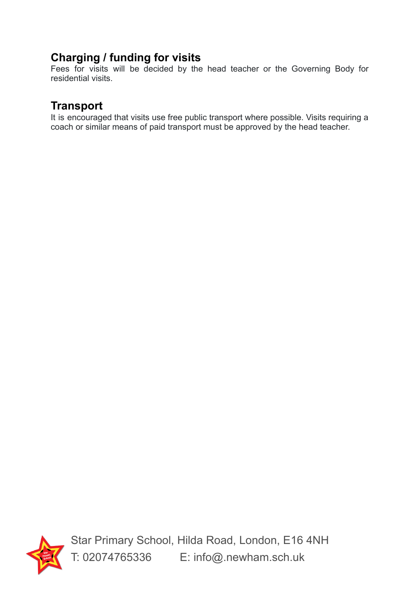# **Charging / funding for visits**

Fees for visits will be decided by the head teacher or the Governing Body for residential visits.

## **Transport**

It is encouraged that visits use free public transport where possible. Visits requiring a coach or similar means of paid transport must be approved by the head teacher.